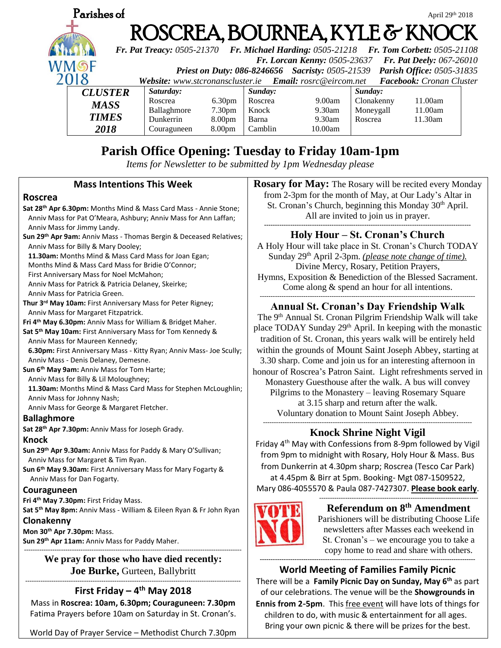

# **Parish Office Opening: Tuesday to Friday 10am-1pm**

*Items for Newsletter to be submitted by 1pm Wednesday please*

#### **Mass Intentions This Week Roscrea Sat 28th Apr 6.30pm:** Months Mind & Mass Card Mass - Annie Stone; Anniv Mass for Pat O'Meara, Ashbury; Anniv Mass for Ann Laffan; Anniv Mass for Jimmy Landy. **Sun 29th Apr 9am:** Anniv Mass - Thomas Bergin & Deceased Relatives; Anniv Mass for Billy & Mary Dooley; **11.30am:** Months Mind & Mass Card Mass for Joan Egan; Months Mind & Mass Card Mass for Bridie O'Connor; First Anniversary Mass for Noel McMahon; Anniv Mass for Patrick & Patricia Delaney, Skeirke; Anniv Mass for Patricia Green. **Thur 3rd May 10am:** First Anniversary Mass for Peter Rigney; Anniv Mass for Margaret Fitzpatrick. **Fri 4th May 6.30pm:** Anniv Mass for William & Bridget Maher. **Sat 5th May 10am:** First Anniversary Mass for Tom Kennedy & Anniv Mass for Maureen Kennedy; **6.30pm:** First Anniversary Mass - Kitty Ryan; Anniv Mass- Joe Scully; Anniv Mass - Denis Delaney, Demesne. **Sun 6th May 9am:** Anniv Mass for Tom Harte; Anniv Mass for Billy & Lil Moloughney;  **11.30am:** Months Mind & Mass Card Mass for Stephen McLoughlin; Anniv Mass for Johnny Nash; Anniv Mass for George & Margaret Fletcher. **Ballaghmore Sat 28th Apr 7.30pm:** Anniv Mass for Joseph Grady. **Knock Sun 29th Apr 9.30am:** Anniv Mass for Paddy & Mary O'Sullivan; Anniv Mass for Margaret & Tim Ryan. **Sun 6th May 9.30am:** First Anniversary Mass for Mary Fogarty & Anniv Mass for Dan Fogarty. **Couraguneen Fri 4th May 7.30pm:** First Friday Mass. **Sat 5th May 8pm:** Anniv Mass - William & Eileen Ryan & Fr John Ryan **Clonakenny Mon 30th Apr 7.30pm:** Mass. **Sun 29th Apr 11am:** Anniv Mass for Paddy Maher. ---------------------------------------------------------------------------------------------------- **We pray for those who have died recently: Joe Burke,** Gurteen, Ballybritt --------------------------------------------------------------------------------------------------- --------------------------------------------------------------------------------------------------- ------------------------------------------------------------------------------------------------ **---------------------------------------------------------------------------------------------------**

#### **First Friday – 4 th May 2018**

Mass in **Roscrea: 10am, 6.30pm; Couraguneen: 7.30pm** Fatima Prayers before 10am on Saturday in St. Cronan's.

World Day of Prayer Service – Methodist Church 7.30pm

**Rosary for May:** The Rosary will be recited every Monday from 2-3pm for the month of May, at Our Lady's Altar in St. Cronan's Church, beginning this Monday  $30<sup>th</sup>$  April. All are invited to join us in prayer. **-----------------------------------------------------------------------------------------------**

## **Holy Hour – St. Cronan's Church**

A Holy Hour will take place in St. Cronan's Church TODAY Sunday 29<sup>th</sup> April 2-3pm. *(please note change of time)*. Divine Mercy, Rosary, Petition Prayers, Hymns, Exposition & Benediction of the Blessed Sacrament. Come along & spend an hour for all intentions.

#### **Annual St. Cronan's Day Friendship Walk**

The 9th Annual St. Cronan Pilgrim Friendship Walk will take place TODAY Sunday 29<sup>th</sup> April. In keeping with the monastic tradition of St. Cronan, this years walk will be entirely held within the grounds of Mount Saint Joseph Abbey, starting at 3.30 sharp. Come and join us for an interesting afternoon in honour of Roscrea's Patron Saint. Light refreshments served in Monastery Guesthouse after the walk. A bus will convey Pilgrims to the Monastery – leaving Rosemary Square at 3.15 sharp and return after the walk. Voluntary donation to Mount Saint Joseph Abbey.

## **Knock Shrine Night Vigil**

Friday  $4<sup>th</sup>$  May with Confessions from 8-9pm followed by Vigil from 9pm to midnight with Rosary, Holy Hour & Mass. Bus from Dunkerrin at 4.30pm sharp; Roscrea (Tesco Car Park) at 4.45pm & Birr at 5pm. Booking- Mgt 087-1509522, Mary 086-4055570 & Paula 087-7427307. **Please book early**.

> **Referendum on 8 th Amendment** Parishioners will be distributing Choose Life newsletters after Masses each weekend in St. Cronan's – we encourage you to take a copy home to read and share with others.

-------------------------------------------------------------------------

**World Meeting of Families Family Picnic**  There will be a **Family Picnic Day on Sunday, May 6th** as part of our celebrations. The venue will be the **Showgrounds in Ennis from 2-5pm**. This free event will have lots of things for children to do, with music & entertainment for all ages. Bring your own picnic & there will be prizes for the best.